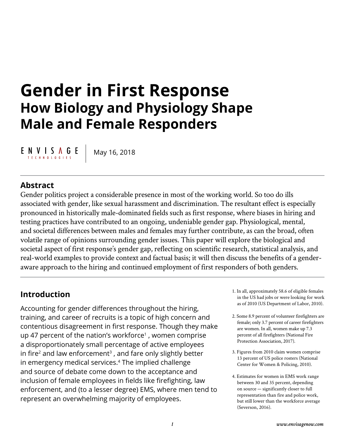# **Gender in First Response How Biology and Physiology Shape Male and Female Responders**

ENVISAGE T E C H N O L O G I E S

May 16, 2018

# **Abstract**

Gender politics project a considerable presence in most of the working world. So too do ills associated with gender, like sexual harassment and discrimination. The resultant effect is especially pronounced in historically male-dominated fields such as first response, where biases in hiring and testing practices have contributed to an ongoing, undeniable gender gap. Physiological, mental, and societal differences between males and females may further contribute, as can the broad, often volatile range of opinions surrounding gender issues. This paper will explore the biological and societal aspect of first response's gender gap, reflecting on scientific research, statistical analysis, and real-world examples to provide context and factual basis; it will then discuss the benefits of a genderaware approach to the hiring and continued employment of first responders of both genders.

## **Introduction**

Accounting for gender differences throughout the hiring, training, and career of recruits is a topic of high concern and contentious disagreement in first response. Though they make up 47 percent of the nation's workforce<sup>1</sup>, women comprise a disproportionately small percentage of active employees in fire<sup>2</sup> and law enforcement<sup>3</sup>, and fare only slightly better in emergency medical services.4 The implied challenge and source of debate come down to the acceptance and inclusion of female employees in fields like firefighting, law enforcement, and (to a lesser degree) EMS, where men tend to represent an overwhelming majority of employees.

- 1. In all, approximately 58.6 of eligible females in the US had jobs or were looking for work as of 2010 (US Department of Labor, 2010).
- 2. Some 8.9 percent of volunteer firefighters are female; only 3.7 percent of career firefighters are women. In all, women make up 7.3 percent of all firefighters (National Fire Protection Association, 2017).
- 3. Figures from 2010 claim women comprise 13 percent of US police rosters (National Center for Women & Policing, 2010).
- 4. Estimates for women in EMS work range between 30 and 35 percent, depending on source — significantly closer to full representation than fire and police work, but still lower than the workforce average (Severson, 2016).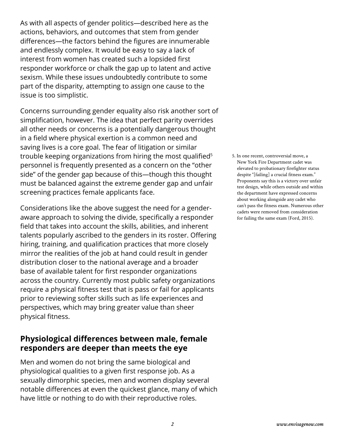As with all aspects of gender politics—described here as the actions, behaviors, and outcomes that stem from gender differences—the factors behind the figures are innumerable and endlessly complex. It would be easy to say a lack of interest from women has created such a lopsided first responder workforce or chalk the gap up to latent and active sexism. While these issues undoubtedly contribute to some part of the disparity, attempting to assign one cause to the issue is too simplistic.

Concerns surrounding gender equality also risk another sort of simplification, however. The idea that perfect parity overrides all other needs or concerns is a potentially dangerous thought in a field where physical exertion is a common need and saving lives is a core goal. The fear of litigation or similar trouble keeping organizations from hiring the most qualified<sup>5</sup> personnel is frequently presented as a concern on the "other side" of the gender gap because of this—though this thought must be balanced against the extreme gender gap and unfair screening practices female applicants face.

Considerations like the above suggest the need for a genderaware approach to solving the divide, specifically a responder field that takes into account the skills, abilities, and inherent talents popularly ascribed to the genders in its roster. Offering hiring, training, and qualification practices that more closely mirror the realities of the job at hand could result in gender distribution closer to the national average and a broader base of available talent for first responder organizations across the country. Currently most public safety organizations require a physical fitness test that is pass or fail for applicants prior to reviewing softer skills such as life experiences and perspectives, which may bring greater value than sheer physical fitness.

## **Physiological differences between male, female responders are deeper than meets the eye**

Men and women do not bring the same biological and physiological qualities to a given first response job. As a sexually dimorphic species, men and women display several notable differences at even the quickest glance, many of which have little or nothing to do with their reproductive roles.

5. In one recent, controversial move, a New York Fire Department cadet was elevated to probationary firefighter status despite "[failing] a crucial fitness exam." Proponents say this is a victory over unfair test design, while others outside and within the department have expressed concerns about working alongside any cadet who can't pass the fitness exam. Numerous other cadets were removed from consideration for failing the same exam (Ford, 2015).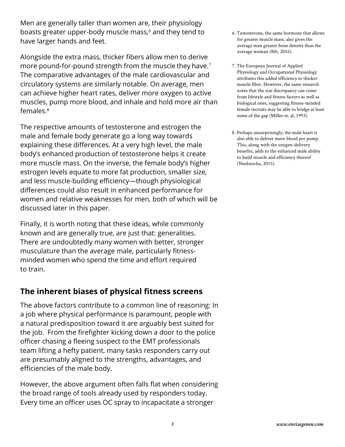Men are generally taller than women are, their physiology boasts greater upper-body muscle mass,<sup>6</sup> and they tend to have larger hands and feet.

Alongside the extra mass, thicker fibers allow men to derive more pound-for-pound strength from the muscle they have.<sup>7</sup> The comparative advantages of the male cardiovascular and circulatory systems are similarly notable. On average, men can achieve higher heart rates, deliver more oxygen to active muscles, pump more blood, and inhale and hold more air than females.8

The respective amounts of testosterone and estrogen the male and female body generate go a long way towards explaining these differences. At a very high level, the male body's enhanced production of testosterone helps it create more muscle mass. On the inverse, the female body's higher estrogen levels equate to more fat production, smaller size, and less muscle-building efficiency—though physiological differences could also result in enhanced performance for women and relative weaknesses for men, both of which will be discussed later in this paper.

Finally, it is worth noting that these ideas, while commonly known and are generally true, are just that: generalities. There are undoubtedly many women with better, stronger musculature than the average male, particularly fitnessminded women who spend the time and effort required to train.

# **The inherent biases of physical fitness screens**

The above factors contribute to a common line of reasoning: In a job where physical performance is paramount, people with a natural predisposition toward it are arguably best suited for the job. From the firefighter kicking down a door to the police officer chasing a fleeing suspect to the EMT professionals team lifting a hefty patient, many tasks responders carry out are presumably aligned to the strengths, advantages, and efficiencies of the male body.

However, the above argument often falls flat when considering the broad range of tools already used by responders today. Every time an officer uses OC spray to incapacitate a stronger

- 6. Testosterone, the same hormone that allows for greater muscle mass, also gives the average man greater bone density than the average woman (8fit, 2016).
- 7. The European Journal of Applied Physiology and Occupational Physiology attributes this added efficiency to thicker muscle fiber. However, the same research notes that the size discrepancy can come from lifestyle and fitness factors as well as biological ones, suggesting fitness-minded female recruits may be able to bridge at least some of the gap (Miller et. al, 1993).
- 8. Perhaps unsurprisingly, the male heart is also able to deliver more blood per pump. This, along with the oxygen-delivery benefits, adds to the enhanced male ability to build muscle and efficiency thereof (Niedziocha, 2015).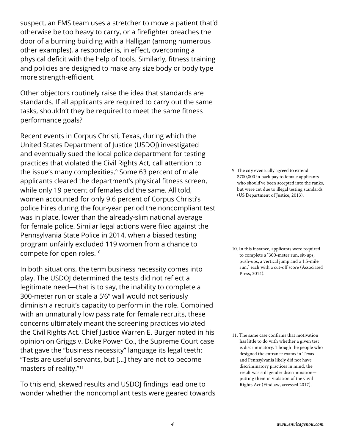suspect, an EMS team uses a stretcher to move a patient that'd otherwise be too heavy to carry, or a firefighter breaches the door of a burning building with a Halligan (among numerous other examples), a responder is, in effect, overcoming a physical deficit with the help of tools. Similarly, fitness training and policies are designed to make any size body or body type more strength-efficient.

Other objectors routinely raise the idea that standards are standards. If all applicants are required to carry out the same tasks, shouldn't they be required to meet the same fitness performance goals?

Recent events in Corpus Christi, Texas, during which the United States Department of Justice (USDOJ) investigated and eventually sued the local police department for testing practices that violated the Civil Rights Act, call attention to the issue's many complexities.<sup>9</sup> Some 63 percent of male applicants cleared the department's physical fitness screen, while only 19 percent of females did the same. All told, women accounted for only 9.6 percent of Corpus Christi's police hires during the four-year period the noncompliant test was in place, lower than the already-slim national average for female police. Similar legal actions were filed against the Pennsylvania State Police in 2014, when a biased testing program unfairly excluded 119 women from a chance to compete for open roles.10

In both situations, the term business necessity comes into play. The USDOJ determined the tests did not reflect a legitimate need—that is to say, the inability to complete a 300-meter run or scale a 5'6" wall would not seriously diminish a recruit's capacity to perform in the role. Combined with an unnaturally low pass rate for female recruits, these concerns ultimately meant the screening practices violated the Civil Rights Act. Chief Justice Warren E. Burger noted in his opinion on Griggs v. Duke Power Co., the Supreme Court case that gave the "business necessity" language its legal teeth: "Tests are useful servants, but […] they are not to become masters of reality."<sup>11</sup>

To this end, skewed results and USDOJ findings lead one to wonder whether the noncompliant tests were geared towards 9. The city eventually agreed to extend \$700,000 in back pay to female applicants who should've been accepted into the ranks, but were cut due to illegal testing standards (US Department of Justice, 2013).

10. In this instance, applicants were required to complete a "300-meter run, sit-ups, push-ups, a vertical jump and a 1.5-mile run," each with a cut-off score (Associated Press, 2014).

11. The same case confirms that motivation has little to do with whether a given test is discriminatory. Though the people who designed the entrance exams in Texas and Pennsylvania likely did not have discriminatory practices in mind, the result was still gender discrimination putting them in violation of the Civil Rights Act (Findlaw, accessed 2017).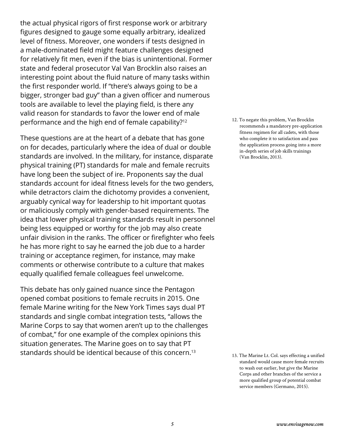the actual physical rigors of first response work or arbitrary figures designed to gauge some equally arbitrary, idealized level of fitness. Moreover, one wonders if tests designed in a male-dominated field might feature challenges designed for relatively fit men, even if the bias is unintentional. Former state and federal prosecutor Val Van Brocklin also raises an interesting point about the fluid nature of many tasks within the first responder world. If "there's always going to be a bigger, stronger bad guy" than a given officer and numerous tools are available to level the playing field, is there any valid reason for standards to favor the lower end of male performance and the high end of female capability?<sup>12</sup>

These questions are at the heart of a debate that has gone on for decades, particularly where the idea of dual or double standards are involved. In the military, for instance, disparate physical training (PT) standards for male and female recruits have long been the subject of ire. Proponents say the dual standards account for ideal fitness levels for the two genders, while detractors claim the dichotomy provides a convenient, arguably cynical way for leadership to hit important quotas or maliciously comply with gender-based requirements. The idea that lower physical training standards result in personnel being less equipped or worthy for the job may also create unfair division in the ranks. The officer or firefighter who feels he has more right to say he earned the job due to a harder training or acceptance regimen, for instance, may make comments or otherwise contribute to a culture that makes equally qualified female colleagues feel unwelcome.

This debate has only gained nuance since the Pentagon opened combat positions to female recruits in 2015. One female Marine writing for the New York Times says dual PT standards and single combat integration tests, "allows the Marine Corps to say that women aren't up to the challenges of combat," for one example of the complex opinions this situation generates. The Marine goes on to say that PT standards should be identical because of this concern.<sup>13</sup>

12. To negate this problem, Van Brocklin recommends a mandatory pre-application fitness regimen for all cadets, with those who complete it to satisfaction and pass the application process going into a more in-depth series of job skills trainings (Van Brocklin, 2013).

13. The Marine Lt. Col. says effecting a unified standard would cause more female recruits to wash out earlier, but give the Marine Corps and other branches of the service a more qualified group of potential combat service members (Germano, 2015).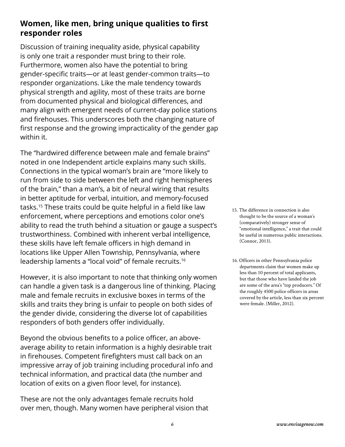# **Women, like men, bring unique qualities to first responder roles**

Discussion of training inequality aside, physical capability is only one trait a responder must bring to their role. Furthermore, women also have the potential to bring gender-specific traits—or at least gender-common traits—to responder organizations. Like the male tendency towards physical strength and agility, most of these traits are borne from documented physical and biological differences, and many align with emergent needs of current-day police stations and firehouses. This underscores both the changing nature of first response and the growing impracticality of the gender gap within it.

The "hardwired difference between male and female brains" noted in one Independent article explains many such skills. Connections in the typical woman's brain are "more likely to run from side to side between the left and right hemispheres of the brain," than a man's, a bit of neural wiring that results in better aptitude for verbal, intuition, and memory-focused tasks.<sup>15</sup> These traits could be quite helpful in a field like law enforcement, where perceptions and emotions color one's ability to read the truth behind a situation or gauge a suspect's trustworthiness. Combined with inherent verbal intelligence, these skills have left female officers in high demand in locations like Upper Allen Township, Pennsylvania, where leadership laments a "local void" of female recruits.16

However, it is also important to note that thinking only women can handle a given task is a dangerous line of thinking. Placing male and female recruits in exclusive boxes in terms of the skills and traits they bring is unfair to people on both sides of the gender divide, considering the diverse lot of capabilities responders of both genders offer individually.

Beyond the obvious benefits to a police officer, an aboveaverage ability to retain information is a highly desirable trait in firehouses. Competent firefighters must call back on an impressive array of job training including procedural info and technical information, and practical data (the number and location of exits on a given floor level, for instance).

These are not the only advantages female recruits hold over men, though. Many women have peripheral vision that

- 15. The difference in connection is also thought to be the source of a woman's (comparatively) stronger sense of "emotional intelligence," a trait that could be useful in numerous public interactions. (Connor, 2013).
- 16. Officers in other Pennsylvania police departments claim that women make up less than 10 percent of total applicants, but that those who have landed the job are some of the area's "top producers." Of the roughly 4500 police officers in areas covered by the article, less than six percent were female. (Miller, 2012).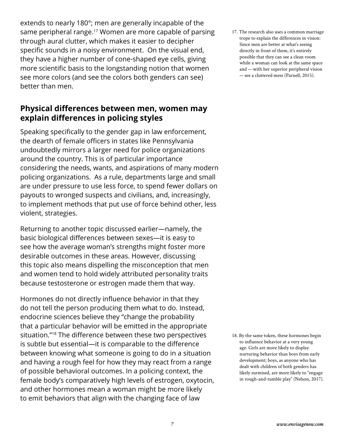extends to nearly 180°; men are generally incapable of the same peripheral range.<sup>17</sup> Women are more capable of parsing through aural clutter, which makes it easier to decipher specific sounds in a noisy environment. On the visual end, they have a higher number of cone-shaped eye cells, giving more scientific basis to the longstanding notion that women see more colors (and see the colors both genders can see) better than men.

#### **Physical differences between men, women may explain differences in policing styles**

Speaking specifically to the gender gap in law enforcement, the dearth of female officers in states like Pennsylvania undoubtedly mirrors a larger need for police organizations around the country. This is of particular importance considering the needs, wants, and aspirations of many modern policing organizations. As a rule, departments large and small are under pressure to use less force, to spend fewer dollars on payouts to wronged suspects and civilians, and, increasingly, to implement methods that put use of force behind other, less violent, strategies.

Returning to another topic discussed earlier—namely, the basic biological differences between sexes—it is easy to see how the average woman's strengths might foster more desirable outcomes in these areas. However, discussing this topic also means dispelling the misconception that men and women tend to hold widely attributed personality traits because testosterone or estrogen made them that way.

Hormones do not directly influence behavior in that they do not tell the person producing them what to do. Instead, endocrine sciences believe they "change the probability that a particular behavior will be emitted in the appropriate situation."18 The difference between these two perspectives is subtle but essential—it is comparable to the difference between knowing what someone is going to do in a situation and having a rough feel for how they may react from a range of possible behavioral outcomes. In a policing context, the female body's comparatively high levels of estrogen, oxytocin, and other hormones mean a woman might be more likely to emit behaviors that align with the changing face of law

17. The research also uses a common marriage trope to explain the differences in vision: Since men are better at what's seeing directly in front of them, it's entirely possible that they can see a clean room while a woman can look at the same space and — with her superior peripheral vision — see a cluttered mess (Parnell, 2015).

18. By the same token, these hormones begin to influence behavior at a very young age. Girls are more likely to display nurturing behavior than boys from early development; boys, as anyone who has dealt with children of both genders has likely surmised, are more likely to "engage in rough-and-tumble play" (Nelson, 2017).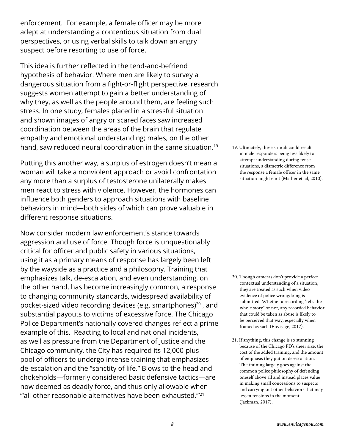enforcement. For example, a female officer may be more adept at understanding a contentious situation from dual perspectives, or using verbal skills to talk down an angry suspect before resorting to use of force.

This idea is further reflected in the tend-and-befriend hypothesis of behavior. Where men are likely to survey a dangerous situation from a fight-or-flight perspective, research suggests women attempt to gain a better understanding of why they, as well as the people around them, are feeling such stress. In one study, females placed in a stressful situation and shown images of angry or scared faces saw increased coordination between the areas of the brain that regulate empathy and emotional understanding; males, on the other hand, saw reduced neural coordination in the same situation.<sup>19</sup>

Putting this another way, a surplus of estrogen doesn't mean a woman will take a nonviolent approach or avoid confrontation any more than a surplus of testosterone unilaterally makes men react to stress with violence. However, the hormones can influence both genders to approach situations with baseline behaviors in mind—both sides of which can prove valuable in different response situations.

Now consider modern law enforcement's stance towards aggression and use of force. Though force is unquestionably critical for officer and public safety in various situations, using it as a primary means of response has largely been left by the wayside as a practice and a philosophy. Training that emphasizes talk, de-escalation, and even understanding, on the other hand, has become increasingly common, a response to changing community standards, widespread availability of pocket-sized video recording devices (e.g. smartphones) $20$ , and substantial payouts to victims of excessive force. The Chicago Police Department's nationally covered changes reflect a prime example of this. Reacting to local and national incidents, as well as pressure from the Department of Justice and the Chicago community, the City has required its 12,000-plus pool of officers to undergo intense training that emphasizes de-escalation and the "sanctity of life." Blows to the head and chokeholds—formerly considered basic defensive tactics—are now deemed as deadly force, and thus only allowable when "'all other reasonable alternatives have been exhausted.'"<sup>21</sup>

19. Ultimately, these stimuli could result in male responders being less likely to attempt understanding during tense situations, a diametric difference from the response a female officer in the same situation might emit (Mather et. al, 2010).

- 20. Though cameras don't provide a perfect contextual understanding of a situation, they are treated as such when video evidence of police wrongdoing is submitted. Whether a recording "tells the whole story" or not, any recorded behavior that could be taken as abuse is likely to be perceived that way, especially when framed as such (Envisage, 2017).
- 21. If anything, this change is so stunning because of the Chicago PD's sheer size, the cost of the added training, and the amount of emphasis they put on de-escalation. The training largely goes against the common police philosophy of defending oneself above all and instead places value in making small concessions to suspects and carrying out other behaviors that may lessen tensions in the moment (Jackman, 2017).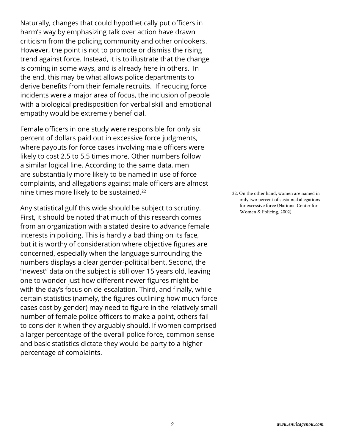Naturally, changes that could hypothetically put officers in harm's way by emphasizing talk over action have drawn criticism from the policing community and other onlookers. However, the point is not to promote or dismiss the rising trend against force. Instead, it is to illustrate that the change is coming in some ways, and is already here in others. In the end, this may be what allows police departments to derive benefits from their female recruits. If reducing force incidents were a major area of focus, the inclusion of people with a biological predisposition for verbal skill and emotional empathy would be extremely beneficial.

Female officers in one study were responsible for only six percent of dollars paid out in excessive force judgments, where payouts for force cases involving male officers were likely to cost 2.5 to 5.5 times more. Other numbers follow a similar logical line. According to the same data, men are substantially more likely to be named in use of force complaints, and allegations against male officers are almost nine times more likely to be sustained.<sup>22</sup>

Any statistical gulf this wide should be subject to scrutiny. First, it should be noted that much of this research comes from an organization with a stated desire to advance female interests in policing. This is hardly a bad thing on its face, but it is worthy of consideration where objective figures are concerned, especially when the language surrounding the numbers displays a clear gender-political bent. Second, the "newest" data on the subject is still over 15 years old, leaving one to wonder just how different newer figures might be with the day's focus on de-escalation. Third, and finally, while certain statistics (namely, the figures outlining how much force cases cost by gender) may need to figure in the relatively small number of female police officers to make a point, others fail to consider it when they arguably should. If women comprised a larger percentage of the overall police force, common sense and basic statistics dictate they would be party to a higher percentage of complaints.

22. On the other hand, women are named in only two percent of sustained allegations for excessive force (National Center for Women & Policing, 2002).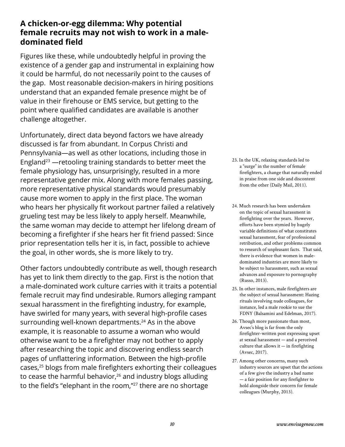#### **A chicken-or-egg dilemma: Why potential female recruits may not wish to work in a maledominated field**

Figures like these, while undoubtedly helpful in proving the existence of a gender gap and instrumental in explaining how it could be harmful, do not necessarily point to the causes of the gap. Most reasonable decision-makers in hiring positions understand that an expanded female presence might be of value in their firehouse or EMS service, but getting to the point where qualified candidates are available is another challenge altogether.

Unfortunately, direct data beyond factors we have already discussed is far from abundant. In Corpus Christi and Pennsylvania—as well as other locations, including those in England<sup>23</sup> —retooling training standards to better meet the female physiology has, unsurprisingly, resulted in a more representative gender mix. Along with more females passing, more representative physical standards would presumably cause more women to apply in the first place. The woman who hears her physically fit workout partner failed a relatively grueling test may be less likely to apply herself. Meanwhile, the same woman may decide to attempt her lifelong dream of becoming a firefighter if she hears her fit friend passed: Since prior representation tells her it is, in fact, possible to achieve the goal, in other words, she is more likely to try.

Other factors undoubtedly contribute as well, though research has yet to link them directly to the gap. First is the notion that a male-dominated work culture carries with it traits a potential female recruit may find undesirable. Rumors alleging rampant sexual harassment in the firefighting industry, for example, have swirled for many years, with several high-profile cases surrounding well-known departments.<sup>24</sup> As in the above example, it is reasonable to assume a woman who would otherwise want to be a firefighter may not bother to apply after researching the topic and discovering endless search pages of unflattering information. Between the high-profile cases,<sup>25</sup> blogs from male firefighters exhorting their colleagues to cease the harmful behavior, $26$  and industry blogs alluding to the field's "elephant in the room,"<sup>27</sup> there are no shortage

- 23. In the UK, relaxing standards led to a "surge" in the number of female firefighters, a change that naturally ended in praise from one side and discontent from the other (Daily Mail, 2011).
- 24. Much research has been undertaken on the topic of sexual harassment in firefighting over the years. However, efforts have been stymied by hugely variable definitions of what constitutes sexual harassment, fear of professional retribution, and other problems common to research of unpleasant facts. That said, there is evidence that women in maledominated industries are more likely to be subject to harassment, such as sexual advances and exposure to pornography (Russo, 2013).
- 25. In other instances, male firefighters are the subject of sexual harassment: Hazing rituals involving nude colleagues, for instance, led a male rookie to sue the FDNY (Balsamini and Edelman, 2017).
- 26. Though more passionate than most, Avsec's blog is far from the only firefighter-written post expressing upset at sexual harassment — and a perceived culture that allows it  $-$  in firefighting (Avsec, 2017).
- 27. Among other concerns, many such industry sources are upset that the actions of a few give the industry a bad name — a fair position for any firefighter to hold alongside their concern for female colleagues (Murphy, 2013).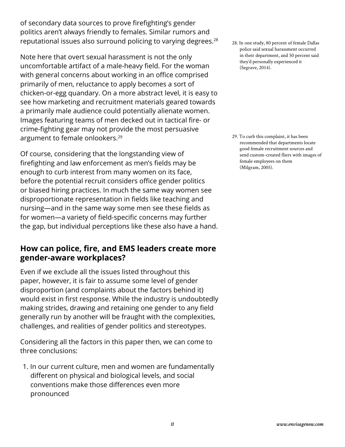of secondary data sources to prove firefighting's gender politics aren't always friendly to females. Similar rumors and reputational issues also surround policing to varying degrees.<sup>28</sup>

Note here that overt sexual harassment is not the only uncomfortable artifact of a male-heavy field. For the woman with general concerns about working in an office comprised primarily of men, reluctance to apply becomes a sort of chicken-or-egg quandary. On a more abstract level, it is easy to see how marketing and recruitment materials geared towards a primarily male audience could potentially alienate women. Images featuring teams of men decked out in tactical fire- or crime-fighting gear may not provide the most persuasive argument to female onlookers.<sup>29</sup>

Of course, considering that the longstanding view of firefighting and law enforcement as men's fields may be enough to curb interest from many women on its face, before the potential recruit considers office gender politics or biased hiring practices. In much the same way women see disproportionate representation in fields like teaching and nursing—and in the same way some men see these fields as for women—a variety of field-specific concerns may further the gap, but individual perceptions like these also have a hand.

## **How can police, fire, and EMS leaders create more gender-aware workplaces?**

Even if we exclude all the issues listed throughout this paper, however, it is fair to assume some level of gender disproportion (and complaints about the factors behind it) would exist in first response. While the industry is undoubtedly making strides, drawing and retaining one gender to any field generally run by another will be fraught with the complexities, challenges, and realities of gender politics and stereotypes.

Considering all the factors in this paper then, we can come to three conclusions:

1. In our current culture, men and women are fundamentally different on physical and biological levels, and social conventions make those differences even more pronounced

28. In one study, 80 percent of female Dallas police said sexual harassment occurred in their department, and 50 percent said they'd personally experienced it (Segrave, 2014).

29. To curb this complaint, it has been recommended that departments locate good female recruitment sources and send custom-created fliers with images of female employees on them (Milgram, 2005).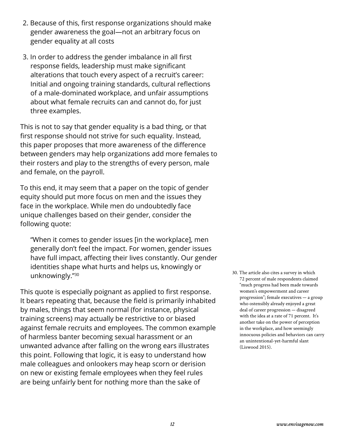- 2. Because of this, first response organizations should make gender awareness the goal—not an arbitrary focus on gender equality at all costs
- 3. In order to address the gender imbalance in all first response fields, leadership must make significant alterations that touch every aspect of a recruit's career: Initial and ongoing training standards, cultural reflections of a male-dominated workplace, and unfair assumptions about what female recruits can and cannot do, for just three examples.

This is not to say that gender equality is a bad thing, or that first response should not strive for such equality. Instead, this paper proposes that more awareness of the difference between genders may help organizations add more females to their rosters and play to the strengths of every person, male and female, on the payroll.

To this end, it may seem that a paper on the topic of gender equity should put more focus on men and the issues they face in the workplace. While men do undoubtedly face unique challenges based on their gender, consider the following quote:

"When it comes to gender issues [in the workplace], men generally don't feel the impact. For women, gender issues have full impact, affecting their lives constantly. Our gender identities shape what hurts and helps us, knowingly or unknowingly."30

This quote is especially poignant as applied to first response. It bears repeating that, because the field is primarily inhabited by males, things that seem normal (for instance, physical training screens) may actually be restrictive to or biased against female recruits and employees. The common example of harmless banter becoming sexual harassment or an unwanted advance after falling on the wrong ears illustrates this point. Following that logic, it is easy to understand how male colleagues and onlookers may heap scorn or derision on new or existing female employees when they feel rules are being unfairly bent for nothing more than the sake of

30. The article also cites a survey in which 72 percent of male respondents claimed "much progress had been made towards women's empowerment and career progression"; female executives — a group who ostensibly already enjoyed a great deal of career progression — disagreed with the idea at a rate of 71 percent. It's another take on the power of perception in the workplace, and how seemingly innocuous policies and behaviors can carry an unintentional-yet-harmful slant (Liswood 2015).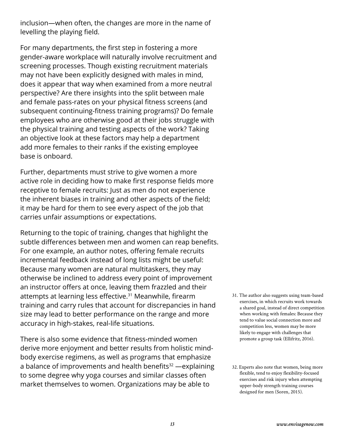inclusion—when often, the changes are more in the name of levelling the playing field.

For many departments, the first step in fostering a more gender-aware workplace will naturally involve recruitment and screening processes. Though existing recruitment materials may not have been explicitly designed with males in mind, does it appear that way when examined from a more neutral perspective? Are there insights into the split between male and female pass-rates on your physical fitness screens (and subsequent continuing-fitness training programs)? Do female employees who are otherwise good at their jobs struggle with the physical training and testing aspects of the work? Taking an objective look at these factors may help a department add more females to their ranks if the existing employee base is onboard.

Further, departments must strive to give women a more active role in deciding how to make first response fields more receptive to female recruits: Just as men do not experience the inherent biases in training and other aspects of the field; it may be hard for them to see every aspect of the job that carries unfair assumptions or expectations.

Returning to the topic of training, changes that highlight the subtle differences between men and women can reap benefits. For one example, an author notes, offering female recruits incremental feedback instead of long lists might be useful: Because many women are natural multitaskers, they may otherwise be inclined to address every point of improvement an instructor offers at once, leaving them frazzled and their attempts at learning less effective.<sup>31</sup> Meanwhile, firearm training and carry rules that account for discrepancies in hand size may lead to better performance on the range and more accuracy in high-stakes, real-life situations.

There is also some evidence that fitness-minded women derive more enjoyment and better results from holistic mindbody exercise regimens, as well as programs that emphasize a balance of improvements and health benefits<sup>32</sup> —explaining to some degree why yoga courses and similar classes often market themselves to women. Organizations may be able to

31. The author also suggests using team-based exercises, in which recruits work towards a shared goal, instead of direct competition when working with females: Because they tend to value social connection more and competition less, women may be more likely to engage with challenges that promote a group task (Ellifritz, 2016).

<sup>32.</sup> Experts also note that women, being more flexible, tend to enjoy flexibility-focused exercises and risk injury when attempting upper-body strength training courses designed for men (Soren, 2015).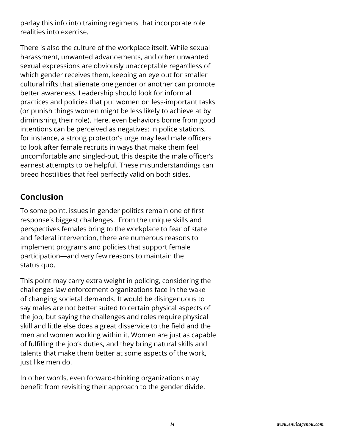parlay this info into training regimens that incorporate role realities into exercise.

There is also the culture of the workplace itself. While sexual harassment, unwanted advancements, and other unwanted sexual expressions are obviously unacceptable regardless of which gender receives them, keeping an eye out for smaller cultural rifts that alienate one gender or another can promote better awareness. Leadership should look for informal practices and policies that put women on less-important tasks (or punish things women might be less likely to achieve at by diminishing their role). Here, even behaviors borne from good intentions can be perceived as negatives: In police stations, for instance, a strong protector's urge may lead male officers to look after female recruits in ways that make them feel uncomfortable and singled-out, this despite the male officer's earnest attempts to be helpful. These misunderstandings can breed hostilities that feel perfectly valid on both sides.

## **Conclusion**

To some point, issues in gender politics remain one of first response's biggest challenges. From the unique skills and perspectives females bring to the workplace to fear of state and federal intervention, there are numerous reasons to implement programs and policies that support female participation—and very few reasons to maintain the status quo.

This point may carry extra weight in policing, considering the challenges law enforcement organizations face in the wake of changing societal demands. It would be disingenuous to say males are not better suited to certain physical aspects of the job, but saying the challenges and roles require physical skill and little else does a great disservice to the field and the men and women working within it. Women are just as capable of fulfilling the job's duties, and they bring natural skills and talents that make them better at some aspects of the work, just like men do.

In other words, even forward-thinking organizations may benefit from revisiting their approach to the gender divide.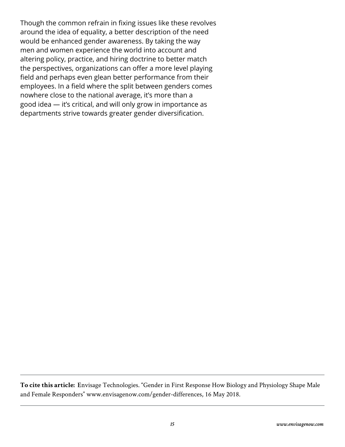Though the common refrain in fixing issues like these revolves around the idea of equality, a better description of the need would be enhanced gender awareness. By taking the way men and women experience the world into account and altering policy, practice, and hiring doctrine to better match the perspectives, organizations can offer a more level playing field and perhaps even glean better performance from their employees. In a field where the split between genders comes nowhere close to the national average, it's more than a good idea — it's critical, and will only grow in importance as departments strive towards greater gender diversification.

**To cite this article: E**nvisage Technologies. "Gender in First Response How Biology and Physiology Shape Male and Female Responders" www.envisagenow.com/gender-differences, 16 May 2018.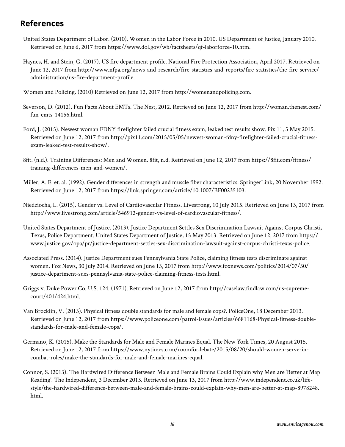#### **References**

- United States Department of Labor. (2010). Women in the Labor Force in 2010. US Department of Justice, January 2010. Retrieved on June 6, 2017 from https://www.dol.gov/wb/factsheets/qf-laborforce-10.htm.
- Haynes, H. and Stein, G. (2017). US fire department profile. National Fire Protection Association, April 2017. Retrieved on June 12, 2017 from http://www.nfpa.org/news-and-research/fire-statistics-and-reports/fire-statistics/the-fire-service/ administration/us-fire-department-profile.

Women and Policing. (2010) Retrieved on June 12, 2017 from http://womenandpolicing.com.

- Severson, D. (2012). Fun Facts About EMTs. The Nest, 2012. Retrieved on June 12, 2017 from http://woman.thenest.com/ fun-emts-14156.html.
- Ford, J. (2015). Newest woman FDNY firefighter failed crucial fitness exam, leaked test results show. Pix 11, 5 May 2015. Retrieved on June 12, 2017 from http://pix11.com/2015/05/05/newest-woman-fdny-firefighter-failed-crucial-fitnessexam-leaked-test-results-show/.
- 8fit. (n.d.). Training Differences: Men and Women. 8fit, n.d. Retrieved on June 12, 2017 from https://8fit.com/fitness/ training-differences-men-and-women/.
- Miller, A. E. et. al. (1992). Gender differences in strength and muscle fiber characteristics. SpringerLink, 20 November 1992. Retrieved on June 12, 2017 from https://link.springer.com/article/10.1007/BF00235103.
- Niedziocha, L. (2015). Gender vs. Level of Cardiovascular Fitness. Livestrong, 10 July 2015. Retrieved on June 13, 2017 from http://www.livestrong.com/article/546912-gender-vs-level-of-cardiovascular-fitness/.
- United States Department of Justice. (2013). Justice Department Settles Sex Discrimination Lawsuit Against Corpus Christi, Texas, Police Department. United States Department of Justice, 15 May 2013. Retrieved on June 12, 2017 from https:// www.justice.gov/opa/pr/justice-department-settles-sex-discrimination-lawsuit-against-corpus-christi-texas-police.
- Associated Press. (2014). Justice Department sues Pennsylvania State Police, claiming fitness tests discriminate against women. Fox News, 30 July 2014. Retrieved on June 13, 2017 from http://www.foxnews.com/politics/2014/07/30/ justice-department-sues-pennsylvania-state-police-claiming-fitness-tests.html.
- Griggs v. Duke Power Co. U.S. 124. (1971). Retrieved on June 12, 2017 from http://caselaw.findlaw.com/us-supremecourt/401/424.html.
- Van Brocklin, V. (2013). Physical fitness double standards for male and female cops?. PoliceOne, 18 December 2013. Retrieved on June 12, 2017 from https://www.policeone.com/patrol-issues/articles/6681168-Physical-fitness-doublestandards-for-male-and-female-cops/.
- Germano, K. (2015). Make the Standards for Male and Female Marines Equal. The New York Times, 20 August 2015. Retrieved on June 12, 2017 from https://www.nytimes.com/roomfordebate/2015/08/20/should-women-serve-incombat-roles/make-the-standards-for-male-and-female-marines-equal.
- Connor, S. (2013). The Hardwired Difference Between Male and Female Brains Could Explain why Men are 'Better at Map Reading'. The Independent, 3 December 2013. Retrieved on June 13, 2017 from http://www.independent.co.uk/lifestyle/the-hardwired-difference-between-male-and-female-brains-could-explain-why-men-are-better-at-map-8978248. html.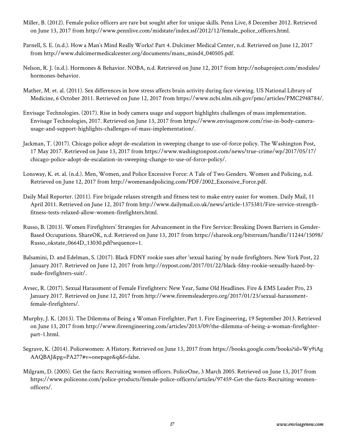- Miller, B. (2012). Female police officers are rare but sought after for unique skills. Penn Live, 8 December 2012. Retrieved on June 13, 2017 from http://www.pennlive.com/midstate/index.ssf/2012/12/female\_police\_officers.html.
- Parnell, S. E. (n.d.). How a Man's Mind Really Works! Part 4. Dulcimer Medical Center, n.d. Retrieved on June 12, 2017 from http://www.dulcimermedicalcenter.org/documents/mans\_mind4\_040505.pdf.
- Nelson, R. J. (n.d.). Hormones & Behavior. NOBA, n.d. Retrieved on June 12, 2017 from http://nobaproject.com/modules/ hormones-behavior.
- Mather, M. et. al. (2011). Sex differences in how stress affects brain activity during face viewing. US National Library of Medicine, 6 October 2011. Retrieved on June 12, 2017 from https://www.ncbi.nlm.nih.gov/pmc/articles/PMC2948784/.
- Envisage Technologies. (2017). Rise in body camera usage and support highlights challenges of mass implementation. Envisage Technologies, 2017. Retrieved on June 13, 2017 from https://www.envisagenow.com/rise-in-body-camerausage-and-support-highlights-challenges-of-mass-implementation/.
- Jackman, T. (2017). Chicago police adopt de-escalation in sweeping change to use-of-force policy. The Washington Post, 17 May 2017. Retrieved on June 13, 2017 from https://www.washingtonpost.com/news/true-crime/wp/2017/05/17/ chicago-police-adopt-de-escalation-in-sweeping-change-to-use-of-force-policy/.
- Lonsway, K. et. al. (n.d.). Men, Women, and Police Excessive Force: A Tale of Two Genders. Women and Policing, n.d. Retrieved on June 12, 2017 from http://womenandpolicing.com/PDF/2002\_Excessive\_Force.pdf.
- Daily Mail Reporter. (2011). Fire brigade relaxes strength and fitness test to make entry easier for women. Daily Mail, 11 April 2011. Retrieved on June 12, 2017 from http://www.dailymail.co.uk/news/article-1375381/Fire-service-strengthfitness-tests-relaxed-allow-women-firefighters.html.
- Russo, B. (2013). Women Firefighters' Strategies for Advancement in the Fire Service: Breaking Down Barriers in Gender-Based Occupations. ShareOK, n.d. Retrieved on June 13, 2017 from https://shareok.org/bitstream/handle/11244/15098/ Russo\_okstate\_0664D\_13030.pdf?sequence=1.
- Balsamini, D. and Edelman, S. (2017). Black FDNY rookie sues after 'sexual hazing' by nude firefighters. New York Post, 22 January 2017. Retrieved on June 12, 2017 from http://nypost.com/2017/01/22/black-fdny-rookie-sexually-hazed-bynude-firefighters-suit/.
- Avsec, R. (2017). Sexual Harassment of Female Firefighters: New Year, Same Old Headlines. Fire & EMS Leader Pro, 23 January 2017. Retrieved on June 12, 2017 from http://www.fireemsleaderpro.org/2017/01/23/sexual-harassmentfemale-firefighters/.
- Murphy, J. K. (2013). The Dilemma of Being a Woman Firefighter, Part 1. Fire Engineering, 19 September 2013. Retrieved on June 13, 2017 from http://www.fireengineering.com/articles/2013/09/the-dilemma-of-being-a-woman-firefighterpart-1.html.
- Segrave, K. (2014). Policewomen: A History. Retrieved on June 13, 2017 from https://books.google.com/books?id=Wy9iAg AAQBAJ&pg=PA277#v=onepage&q&f=false.
- Milgram, D. (2005). Get the facts: Recruiting women officers. PoliceOne, 3 March 2005. Retrieved on June 13, 2017 from https://www.policeone.com/police-products/female-police-officers/articles/97459-Get-the-facts-Recruiting-womenofficers/.